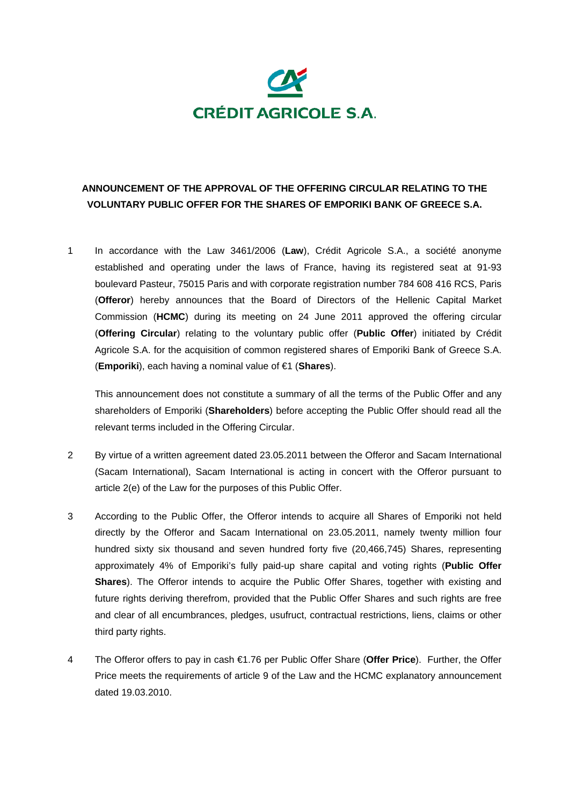

## **ANNOUNCEMENT OF THE APPROVAL OF THE OFFERING CIRCULAR RELATING TO THE VOLUNTARY PUBLIC OFFER FOR THE SHARES OF EMPORIKI BANK OF GREECE S.A.**

1 In accordance with the Law 3461/2006 (**Law**), Crédit Agricole S.A., a société anonyme established and operating under the laws of France, having its registered seat at 91-93 boulevard Pasteur, 75015 Paris and with corporate registration number 784 608 416 RCS, Paris (**Offeror**) hereby announces that the Board of Directors of the Hellenic Capital Market Commission (**HCMC**) during its meeting on 24 June 2011 approved the offering circular (**Offering Circular**) relating to the voluntary public offer (**Public Offer**) initiated by Crédit Agricole S.A. for the acquisition of common registered shares of Emporiki Bank of Greece S.A. (**Emporiki**), each having a nominal value of €1 (**Shares**).

This announcement does not constitute a summary of all the terms of the Public Offer and any shareholders of Emporiki (**Shareholders**) before accepting the Public Offer should read all the relevant terms included in the Offering Circular.

- 2 By virtue of a written agreement dated 23.05.2011 between the Offeror and Sacam International (Sacam International), Sacam International is acting in concert with the Offeror pursuant to article 2(e) of the Law for the purposes of this Public Offer.
- 3 According to the Public Offer, the Offeror intends to acquire all Shares of Emporiki not held directly by the Offeror and Sacam International on 23.05.2011, namely twenty million four hundred sixty six thousand and seven hundred forty five (20,466,745) Shares, representing approximately 4% of Emporiki's fully paid-up share capital and voting rights (**Public Offer Shares**). The Offeror intends to acquire the Public Offer Shares, together with existing and future rights deriving therefrom, provided that the Public Offer Shares and such rights are free and clear of all encumbrances, pledges, usufruct, contractual restrictions, liens, claims or other third party rights.
- 4 The Offeror offers to pay in cash €1.76 per Public Offer Share (**Offer Price**). Further, the Offer Price meets the requirements of article 9 of the Law and the HCMC explanatory announcement dated 19.03.2010.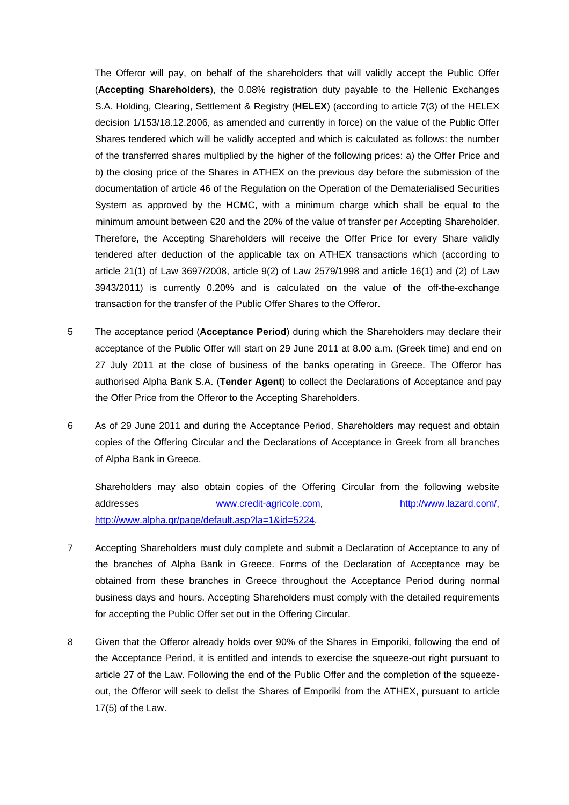The Offeror will pay, on behalf of the shareholders that will validly accept the Public Offer (**Accepting Shareholders**), the 0.08% registration duty payable to the Hellenic Exchanges S.A. Holding, Clearing, Settlement & Registry (**HELEX**) (according to article 7(3) of the HELEX decision 1/153/18.12.2006, as amended and currently in force) on the value of the Public Offer Shares tendered which will be validly accepted and which is calculated as follows: the number of the transferred shares multiplied by the higher of the following prices: a) the Offer Price and b) the closing price of the Shares in ATHEX on the previous day before the submission of the documentation of article 46 of the Regulation on the Operation of the Dematerialised Securities System as approved by the HCMC, with a minimum charge which shall be equal to the minimum amount between €20 and the 20% of the value of transfer per Accepting Shareholder. Therefore, the Accepting Shareholders will receive the Offer Price for every Share validly tendered after deduction of the applicable tax on ATHEX transactions which (according to article 21(1) of Law 3697/2008, article 9(2) of Law 2579/1998 and article 16(1) and (2) of Law 3943/2011) is currently 0.20% and is calculated on the value of the off-the-exchange transaction for the transfer of the Public Offer Shares to the Offeror.

- 5 The acceptance period (**Acceptance Period**) during which the Shareholders may declare their acceptance of the Public Offer will start on 29 June 2011 at 8.00 a.m. (Greek time) and end on 27 July 2011 at the close of business of the banks operating in Greece. The Offeror has authorised Alpha Bank S.A. (**Tender Agent**) to collect the Declarations of Acceptance and pay the Offer Price from the Offeror to the Accepting Shareholders.
- 6 As of 29 June 2011 and during the Acceptance Period, Shareholders may request and obtain copies of the Offering Circular and the Declarations of Acceptance in Greek from all branches of Alpha Bank in Greece.

Shareholders may also obtain copies of the Offering Circular from the following website addresses [www.credit-agricole.com,](http://www.credit-agricole.com/) <http://www.lazard.com/>, [http://www.alpha.gr/page/default.asp?la=1&id=5224.](http://www.alpha.gr/page/default.asp?la=1&id=5224)

- 7 Accepting Shareholders must duly complete and submit a Declaration of Acceptance to any of the branches of Alpha Bank in Greece. Forms of the Declaration of Acceptance may be obtained from these branches in Greece throughout the Acceptance Period during normal business days and hours. Accepting Shareholders must comply with the detailed requirements for accepting the Public Offer set out in the Offering Circular.
- 8 Given that the Offeror already holds over 90% of the Shares in Emporiki, following the end of the Acceptance Period, it is entitled and intends to exercise the squeeze-out right pursuant to article 27 of the Law. Following the end of the Public Offer and the completion of the squeezeout, the Offeror will seek to delist the Shares of Emporiki from the ATHEX, pursuant to article 17(5) of the Law.